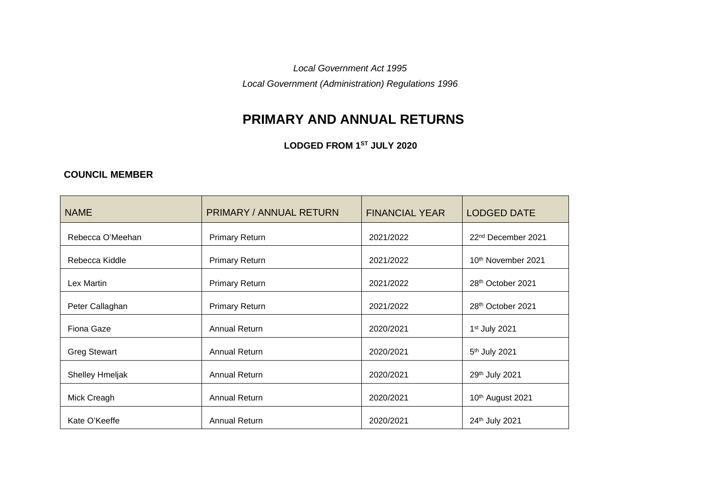*Local Government Act 1995*

*Local Government (Administration) Regulations 1996*

## **PRIMARY AND ANNUAL RETURNS**

**LODGED FROM 1ST JULY 2020**

## **COUNCIL MEMBER**

| <b>NAME</b>            | <b>PRIMARY / ANNUAL RETURN</b> | <b>FINANCIAL YEAR</b> | <b>LODGED DATE</b>             |
|------------------------|--------------------------------|-----------------------|--------------------------------|
| Rebecca O'Meehan       | <b>Primary Return</b>          | 2021/2022             | 22 <sup>nd</sup> December 2021 |
| Rebecca Kiddle         | <b>Primary Return</b>          | 2021/2022             | 10th November 2021             |
| Lex Martin             | <b>Primary Return</b>          | 2021/2022             | 28th October 2021              |
| Peter Callaghan        | <b>Primary Return</b>          | 2021/2022             | 28th October 2021              |
| Fiona Gaze             | <b>Annual Return</b>           | 2020/2021             | 1 <sup>st</sup> July 2021      |
| <b>Greg Stewart</b>    | <b>Annual Return</b>           | 2020/2021             | 5 <sup>th</sup> July 2021      |
| <b>Shelley Hmeljak</b> | <b>Annual Return</b>           | 2020/2021             | 29th July 2021                 |
| Mick Creagh            | <b>Annual Return</b>           | 2020/2021             | 10th August 2021               |
| Kate O'Keeffe          | <b>Annual Return</b>           | 2020/2021             | 24th July 2021                 |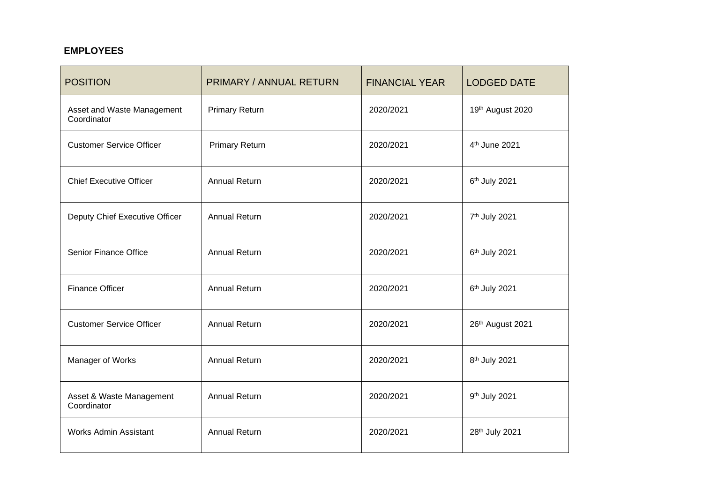## **EMPLOYEES**

| <b>POSITION</b>                           | <b>PRIMARY / ANNUAL RETURN</b> | <b>FINANCIAL YEAR</b> | <b>LODGED DATE</b>        |
|-------------------------------------------|--------------------------------|-----------------------|---------------------------|
| Asset and Waste Management<br>Coordinator | <b>Primary Return</b>          | 2020/2021             | 19th August 2020          |
| <b>Customer Service Officer</b>           | <b>Primary Return</b>          | 2020/2021             | 4 <sup>th</sup> June 2021 |
| <b>Chief Executive Officer</b>            | <b>Annual Return</b>           | 2020/2021             | 6th July 2021             |
| Deputy Chief Executive Officer            | <b>Annual Return</b>           | 2020/2021             | 7 <sup>th</sup> July 2021 |
| Senior Finance Office                     | <b>Annual Return</b>           | 2020/2021             | 6th July 2021             |
| <b>Finance Officer</b>                    | <b>Annual Return</b>           | 2020/2021             | 6th July 2021             |
| <b>Customer Service Officer</b>           | <b>Annual Return</b>           | 2020/2021             | 26th August 2021          |
| Manager of Works                          | <b>Annual Return</b>           | 2020/2021             | 8 <sup>th</sup> July 2021 |
| Asset & Waste Management<br>Coordinator   | <b>Annual Return</b>           | 2020/2021             | 9th July 2021             |
| <b>Works Admin Assistant</b>              | <b>Annual Return</b>           | 2020/2021             | 28th July 2021            |